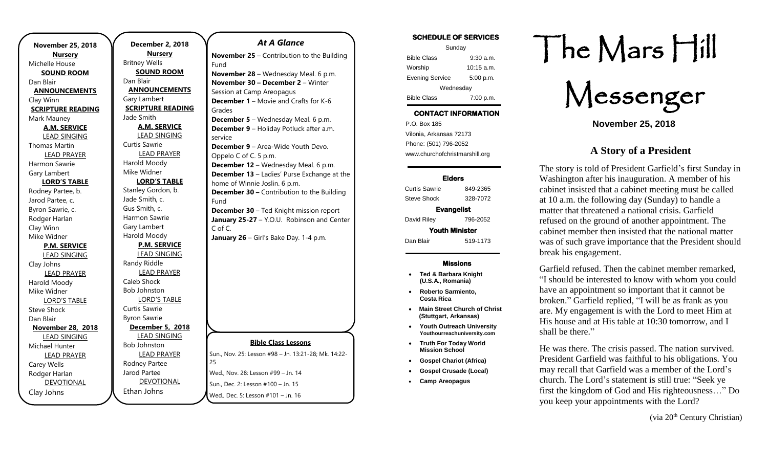| <b>November 25, 2018</b>              |  |
|---------------------------------------|--|
| <b>Nursery</b>                        |  |
| Michelle House                        |  |
| <b>SOUND ROOM</b>                     |  |
| Dan Blair                             |  |
| <b>ANNOUNCEMENTS</b>                  |  |
| Clay Winn                             |  |
| <b>SCRIPTURE READING</b>              |  |
| Mark Mauney                           |  |
| <b>A.M. SERVICE</b>                   |  |
| LEAD SINGING                          |  |
| <b>Thomas Martin</b>                  |  |
| <b>LEAD PRAYER</b>                    |  |
| Harmon Sawrie                         |  |
| Gary Lambert                          |  |
| <b>LORD'S TABLE</b>                   |  |
| Rodney Partee, b.                     |  |
| Jarod Partee, c.                      |  |
| Byron Sawrie, c.                      |  |
| Rodger Harlan                         |  |
| Clay Winn                             |  |
| Mike Widner                           |  |
| <b>P.M. SERVICE</b>                   |  |
| <b>LEAD SINGING</b>                   |  |
| Clay Johns                            |  |
| <b>LEAD PRAYER</b>                    |  |
| Harold Moody                          |  |
| Mike Widner                           |  |
| <b>LORD'S TABLE</b>                   |  |
| <b>Steve Shock</b>                    |  |
| Dan Blair                             |  |
| <b>November 28, 2018</b>              |  |
| <b>LEAD SINGING</b><br>Michael Hunter |  |
|                                       |  |
| <b>LEAD PRAYER</b><br>Carey Wells     |  |
| Rodger Harlan                         |  |
| <b>DEVOTIONAL</b>                     |  |
| Clay Johns                            |  |
|                                       |  |

**December 2, 2018 Nursery** Britney Wells **SOUND ROOM** Dan Blair **ANNOUNCEMENTS** Gary Lambert **SCRIPTURE READING** Jade Smith **A.M. SERVICE** LEAD SINGING Curtis Sawrie LEAD PRAYER Harold Moody Mike Widner **LORD'S TABLE** Stanley Gordon, b. Jade Smith, c. Gus Smith, c. Harmon Sawrie Gary Lambert Harold Moody **P.M. SERVICE** LEAD SINGING Randy Riddle LEAD PRAYER Caleb Shock Bob Johnston LORD'S TABLE Curtis Sawrie Byron Sawrie **December 5, 2018** LEAD SINGING Bob Johnston LEAD PRAYER Rodney Partee Jarod Partee DEVOTIONAL 25 Fund Grades service Fund C of C.

Ethan Johns

### *At A Glance*

**November 25** – Contribution to the Building **November 28** – Wednesday Meal. 6 p.m. **November 30 – December 2** – Winter Session at Camp Areopagus **December 1** – Movie and Crafts for K-6 **December 5** – Wednesday Meal. 6 p.m. **December 9** – Holiday Potluck after a.m. **December 9** – Area-Wide Youth Devo. Oppelo C of C. 5 p.m. **December 12** – Wednesday Meal. 6 p.m. **December 13** – Ladies' Purse Exchange at the home of Winnie Joslin. 6 p.m. **December 30 –** Contribution to the Building **December 30** – Ted Knight mission report January 25-27 - Y.O.U. Robinson and Center **January 26** – Girl's Bake Day. 1-4 p.m.

### **Bible Class Lessons**

Sun., Nov. 25: Lesson #98 – Jn. 13:21-28; Mk. 14:22- Wed., Nov. 28: Lesson #99 – Jn. 14 Sun., Dec. 2: Lesson #100 – Jn. 15 Wed., Dec. 5: Lesson #101 – Jn. 16

### **SCHEDULE OF SERVICES**  Sunday Bible Class 9:30 a.m. Worship 10:15 a.m. Evening Service 5:00 p.m. Wednesday Bible Class 7:00 p.m.

# **CONTACT INFORMATION**

. .o. Box 166<br>Vilonia, Arkansas 72173 P.O. Box 185 Phone: (501) 796-2052 www.churchofchristmarshill.org

### **Elders**

Curtis Sawrie 849-2365 Steve Shock 328-7072 **Evangelist**  David Riley 796-2052 **Youth Minister**  Dan Blair 519-1173

### **Missions**

- **Ted & Barbara Knight (U.S.A., Romania)**
- **Roberto Sarmiento, Costa Rica**
- **Main Street Church of Christ (Stuttgart, Arkansas)**
- **Youth Outreach University Youthourreachuniversity.com**
- **Truth For Today World Mission School**
- **Gospel Chariot (Africa)**
- **Gospel Crusade (Local)**
- **Camp Areopagus**

# The Mars Hill

Messenger

**November 25, 2018**

## **A Story of a President**

The story is told of President Garfield's first Sunday in Washington after his inauguration. A member of his cabinet insisted that a cabinet meeting must be called at 10 a.m. the following day (Sunday) to handle a matter that threatened a national crisis. Garfield refused on the ground of another appointment. The cabinet member then insisted that the national matter was of such grave importance that the President should break his engagement.

Garfield refused. Then the cabinet member remarked, "I should be interested to know with whom you could have an appointment so important that it cannot be broken." Garfield replied, "I will be as frank as you are. My engagement is with the Lord to meet Him at His house and at His table at 10:30 tomorrow, and I shall be there."

He was there. The crisis passed. The nation survived. President Garfield was faithful to his obligations. You may recall that Garfield was a member of the Lord's church. The Lord's statement is still true: "Seek ye first the kingdom of God and His righteousness…" Do you keep your appointments with the Lord?